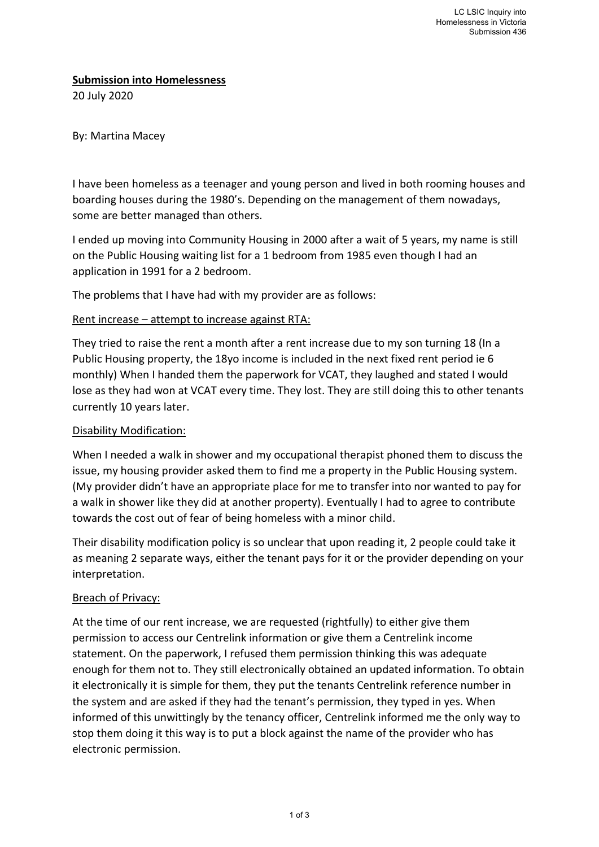### **Submission into Homelessness**

20 July 2020

## By: Martina Macey

I have been homeless as a teenager and young person and lived in both rooming houses and boarding houses during the 1980's. Depending on the management of them nowadays, some are better managed than others.

I ended up moving into Community Housing in 2000 after a wait of 5 years, my name is still on the Public Housing waiting list for a 1 bedroom from 1985 even though I had an application in 1991 for a 2 bedroom.

The problems that I have had with my provider are as follows:

### Rent increase – attempt to increase against RTA:

They tried to raise the rent a month after a rent increase due to my son turning 18 (In a Public Housing property, the 18yo income is included in the next fixed rent period ie 6 monthly) When I handed them the paperwork for VCAT, they laughed and stated I would lose as they had won at VCAT every time. They lost. They are still doing this to other tenants currently 10 years later.

#### Disability Modification:

When I needed a walk in shower and my occupational therapist phoned them to discuss the issue, my housing provider asked them to find me a property in the Public Housing system. (My provider didn't have an appropriate place for me to transfer into nor wanted to pay for a walk in shower like they did at another property). Eventually I had to agree to contribute towards the cost out of fear of being homeless with a minor child.

Their disability modification policy is so unclear that upon reading it, 2 people could take it as meaning 2 separate ways, either the tenant pays for it or the provider depending on your interpretation.

# Breach of Privacy:

At the time of our rent increase, we are requested (rightfully) to either give them permission to access our Centrelink information or give them a Centrelink income statement. On the paperwork, I refused them permission thinking this was adequate enough for them not to. They still electronically obtained an updated information. To obtain it electronically it is simple for them, they put the tenants Centrelink reference number in the system and are asked if they had the tenant's permission, they typed in yes. When informed of this unwittingly by the tenancy officer, Centrelink informed me the only way to stop them doing it this way is to put a block against the name of the provider who has electronic permission.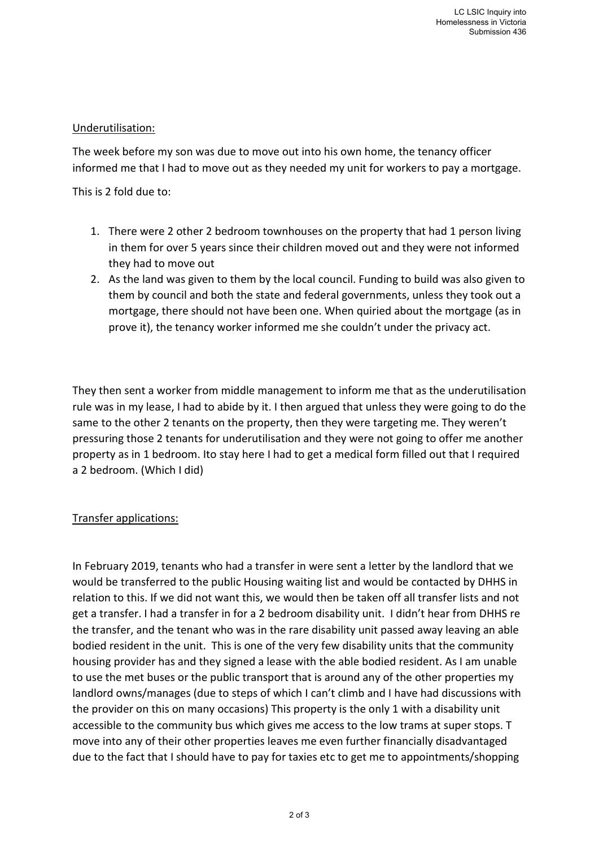# Underutilisation:

The week before my son was due to move out into his own home, the tenancy officer informed me that I had to move out as they needed my unit for workers to pay a mortgage.

This is 2 fold due to:

- 1. There were 2 other 2 bedroom townhouses on the property that had 1 person living in them for over 5 years since their children moved out and they were not informed they had to move out
- 2. As the land was given to them by the local council. Funding to build was also given to them by council and both the state and federal governments, unless they took out a mortgage, there should not have been one. When quiried about the mortgage (as in prove it), the tenancy worker informed me she couldn't under the privacy act.

They then sent a worker from middle management to inform me that as the underutilisation rule was in my lease, I had to abide by it. I then argued that unless they were going to do the same to the other 2 tenants on the property, then they were targeting me. They weren't pressuring those 2 tenants for underutilisation and they were not going to offer me another property as in 1 bedroom. Ito stay here I had to get a medical form filled out that I required a 2 bedroom. (Which I did)

# Transfer applications:

In February 2019, tenants who had a transfer in were sent a letter by the landlord that we would be transferred to the public Housing waiting list and would be contacted by DHHS in relation to this. If we did not want this, we would then be taken off all transfer lists and not get a transfer. I had a transfer in for a 2 bedroom disability unit. I didn't hear from DHHS re the transfer, and the tenant who was in the rare disability unit passed away leaving an able bodied resident in the unit. This is one of the very few disability units that the community housing provider has and they signed a lease with the able bodied resident. As I am unable to use the met buses or the public transport that is around any of the other properties my landlord owns/manages (due to steps of which I can't climb and I have had discussions with the provider on this on many occasions) This property is the only 1 with a disability unit accessible to the community bus which gives me access to the low trams at super stops. T move into any of their other properties leaves me even further financially disadvantaged due to the fact that I should have to pay for taxies etc to get me to appointments/shopping